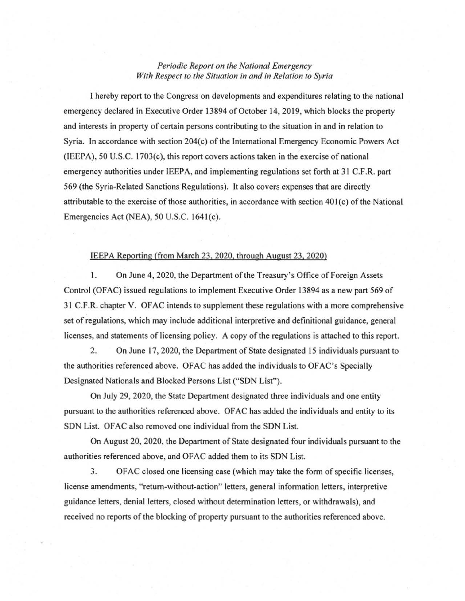## *Periodic Report on the National Emergency With Respect to the Situation in and in Relation to Syria*

1 hereby report to the Congress on developments and expenditures relating to the national emergency declared in Executive Order 13894 of October 14, 2019, which blocks the property and interests in property of certain persons contributing to the situation in and in relation to Syria. In accordance with section  $204(c)$  of the International Emergency Economic Powers Act  $(IEEEPA)$ , 50 U.S.C. 1703 $(c)$ , this report covers actions taken in the exercise of national emergency authorities under IEEPA, and implementing regulations set forth at 31 C.F .R. part 569 (the Syria-Related Sanctions Regulations). It also covers expenses that are directly attributable to the exercise of those authorities, in accordance with section  $401(c)$  of the National Emergencies Act (NEA),  $50$  U.S.C. 1641 $(c)$ .

## IEEPA Reporting (from March 23, 2020. through August 23, 2020)

1. On June 4, 2020, the Department of the Treasury's Office of Foreign Assets Control (OFAC) issued regulations to implement Executive Order 13894 as a new part 569 of 31 C.F .R. chapter V. OF AC intends to supplement these regulations with a more comprehensive set ofregulations, which may include additional interpretive and definitional guidance, general licenses, and statements of licensing policy. A copy of the regulations is attached to this report.

2. On June 17, 2020, the Department of State designated 15 individuals pursuant to the authorities referenced above. OFAC has added the individuals to OFAC's Specially Designated Nationals and Blocked Persons List ("SDN List").

On July 29, 2020, the State Department designated three individuals and one entity pursuant to the authorities referenced above. OF AC has added the individuals and entity to its SDN List. OFAC also removed one individual from the SDN List.

On August 20, 2020, the Department of State designated four individuals pursuant to the authorities referenced above, and OFAC added them to its SDN List.

3. OFAC closed one licensing case (which may take the form of specific licenses , license amendments, "retum-without-action" letters, general information letters, interpretive guidance letters, denial letters, closed without determination letters, or withdrawals), and received no reports of the blocking of property pursuant to the authorities referenced above .